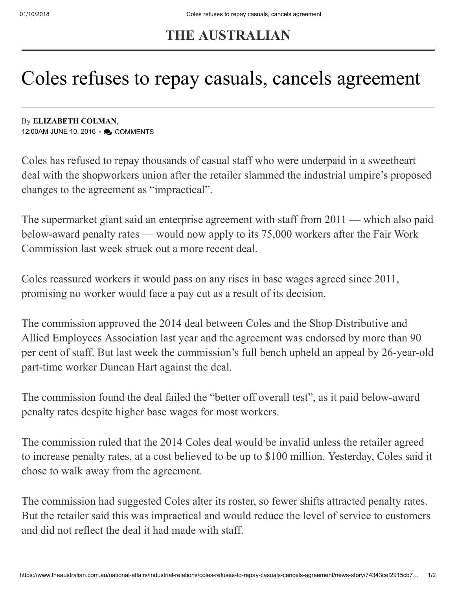## **THE AUSTRALIAN**

## Coles refuses to repay casuals, cancels agreement

By **[ELIZABETH COLMAN](https://www.theaustralian.com.au/author/Elizabeth+Colman)**, 12:00AM JUNE 10, 2016 • 2 COMMENTS

Coles has refused to repay thousands of casual staff who were underpaid in a sweetheart deal with the shopworkers union after the retailer slammed the industrial umpire's proposed changes to the agreement as "impractical".

The supermarket giant said an enterprise agreement with staff from 2011 — which also paid below-award penalty rates — would now apply to its 75,000 workers after the Fair Work Commission last week struck out a more recent deal.

Coles reassured workers it would pass on any rises in base wages agreed since 2011, promising no worker would face a pay cut as a result of its decision.

The commission approved the 2014 deal between Coles and the Shop Distributive and Allied Employees Association last year and the agreement was endorsed by more than 90 per cent of staff. But last week the commission's full bench upheld an appeal by 26-year-old part-time worker Duncan Hart against the deal.

The commission found the deal failed the "better off overall test", as it paid below-award penalty rates despite higher base wages for most workers.

The commission ruled that the 2014 Coles deal would be invalid unless the retailer agreed to increase penalty rates, at a cost believed to be up to \$100 million. Yesterday, Coles said it chose to walk away from the agreement.

The commission had suggested Coles alter its roster, so fewer shifts attracted penalty rates. But the retailer said this was impractical and would reduce the level of service to customers and did not reflect the deal it had made with staff.